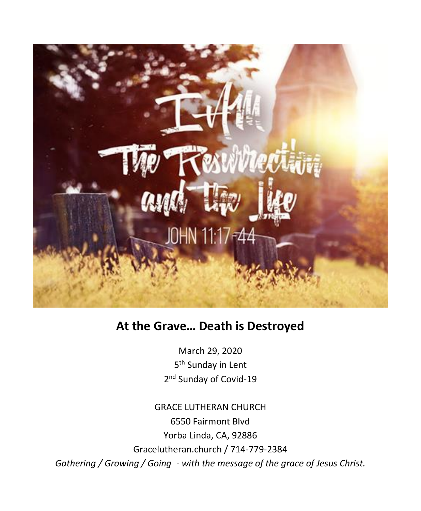

# **At the Grave… Death is Destroyed**

March 29, 2020 5<sup>th</sup> Sunday in Lent 2<sup>nd</sup> Sunday of Covid-19

GRACE LUTHERAN CHURCH 6550 Fairmont Blvd Yorba Linda, CA, 92886 Gracelutheran.church / 714-779-2384 *Gathering / Growing / Going - with the message of the grace of Jesus Christ.*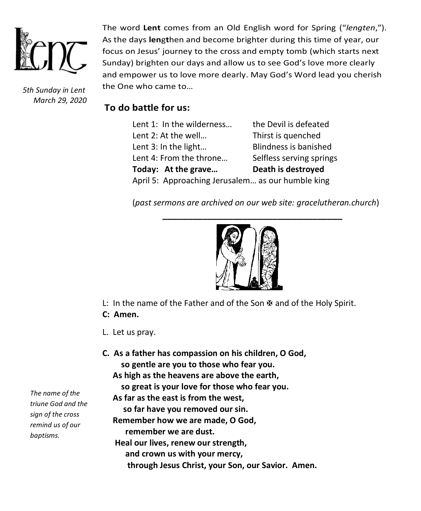

*5th Sunday in Lent March 29, 2020*

The word **Lent** comes from an Old English word for Spring ("*lengten*,"). As the days **len**g**t**hen and become brighter during this time of year, our focus on Jesus' journey to the cross and empty tomb (which starts next Sunday) brighten our days and allow us to see God's love more clearly and empower us to love more dearly. May God's Word lead you cherish the One who came to…

# **To do battle for us:**

| Lent 1: In the wilderness                         | the Devil is defeated        |  |
|---------------------------------------------------|------------------------------|--|
| Lent 2: At the well                               | Thirst is quenched           |  |
| Lent 3: In the light                              | <b>Blindness is banished</b> |  |
| Lent 4: From the throne                           | Selfless serving springs     |  |
| Today: At the grave                               | Death is destroyed           |  |
| April 5: Approaching Jerusalem as our humble king |                              |  |

(*past sermons are archived on our web site: gracelutheran.church*)



L: In the name of the Father and of the Son  $\mathbb B$  and of the Holy Spirit.

- **C: Amen.**
- L. Let us pray.
- **C. As a father has compassion on his children, O God, so gentle are you to those who fear you. As high as the heavens are above the earth, so great is your love for those who fear you. As far as the east is from the west, so far have you removed our sin. Remember how we are made, O God, remember we are dust. Heal our lives, renew our strength, and crown us with your mercy, through Jesus Christ, your Son, our Savior. Amen.**

*The name of the triune God and the sign of the cross remind us of our baptisms.*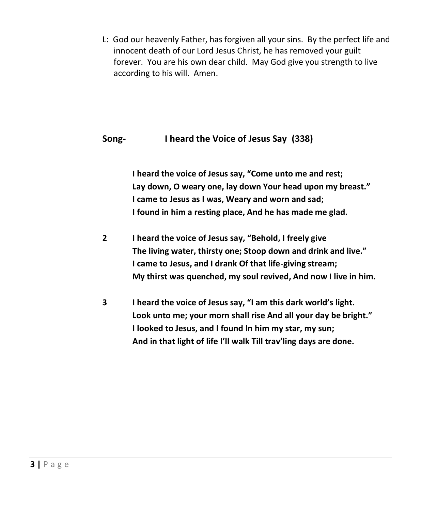L: God our heavenly Father, has forgiven all your sins. By the perfect life and innocent death of our Lord Jesus Christ, he has removed your guilt forever. You are his own dear child. May God give you strength to live according to his will. Amen.

# **Song- I heard the Voice of Jesus Say (338)**

**I heard the voice of Jesus say, "Come unto me and rest; Lay down, O weary one, lay down Your head upon my breast." I came to Jesus as I was, Weary and worn and sad; I found in him a resting place, And he has made me glad.**

- **2 I heard the voice of Jesus say, "Behold, I freely give The living water, thirsty one; Stoop down and drink and live." I came to Jesus, and I drank Of that life-giving stream; My thirst was quenched, my soul revived, And now I live in him.**
- **3 I heard the voice of Jesus say, "I am this dark world's light. Look unto me; your morn shall rise And all your day be bright." I looked to Jesus, and I found In him my star, my sun; And in that light of life I'll walk Till trav'ling days are done.**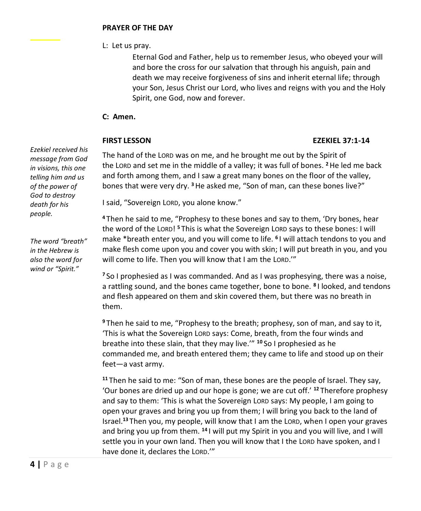L: Let us pray.

Eternal God and Father, help us to remember Jesus, who obeyed your will and bore the cross for our salvation that through his anguish, pain and death we may receive forgiveness of sins and inherit eternal life; through your Son, Jesus Christ our Lord, who lives and reigns with you and the Holy Spirit, one God, now and forever.

# **C: Amen.**

## **FIRST LESSON EZEKIEL 37:1-14**

*Ezekiel received his message from God in visions, this one telling him and us of the power of God to destroy death for his people.*

*The word "breath" in the Hebrew is also the word for wind or "Spirit."*

The hand of the LORD was on me, and he brought me out by the Spirit of the LORD and set me in the middle of a valley; it was full of bones. **<sup>2</sup>**He led me back and forth among them, and I saw a great many bones on the floor of the valley, bones that were very dry. **<sup>3</sup>**He asked me, "Son of man, can these bones live?"

I said, "Sovereign LORD, you alone know."

**<sup>4</sup>** Then he said to me, "Prophesy to these bones and say to them, 'Dry bones, hear the word of the LORD! **<sup>5</sup>** This is what the Sovereign LORD says to these bones: I will make \*breath enter you, and you will come to life. **<sup>6</sup>** I will attach tendons to you and make flesh come upon you and cover you with skin; I will put breath in you, and you will come to life. Then you will know that I am the LORD.'"

**<sup>7</sup>** So I prophesied as I was commanded. And as I was prophesying, there was a noise, a rattling sound, and the bones came together, bone to bone. **<sup>8</sup>** I looked, and tendons and flesh appeared on them and skin covered them, but there was no breath in them.

**<sup>9</sup>** Then he said to me, "Prophesy to the breath; prophesy, son of man, and say to it, 'This is what the Sovereign LORD says: Come, breath, from the four winds and breathe into these slain, that they may live.'" **<sup>10</sup>** So I prophesied as he commanded me, and breath entered them; they came to life and stood up on their feet—a vast army.

**<sup>11</sup>** Then he said to me: "Son of man, these bones are the people of Israel. They say, 'Our bones are dried up and our hope is gone; we are cut off.' **<sup>12</sup>** Therefore prophesy and say to them: 'This is what the Sovereign LORD says: My people, I am going to open your graves and bring you up from them; I will bring you back to the land of Israel.**<sup>13</sup>** Then you, my people, will know that I am the LORD, when I open your graves and bring you up from them. **<sup>14</sup>** I will put my Spirit in you and you will live, and I will settle you in your own land. Then you will know that I the LORD have spoken, and I have done it, declares the LORD.'"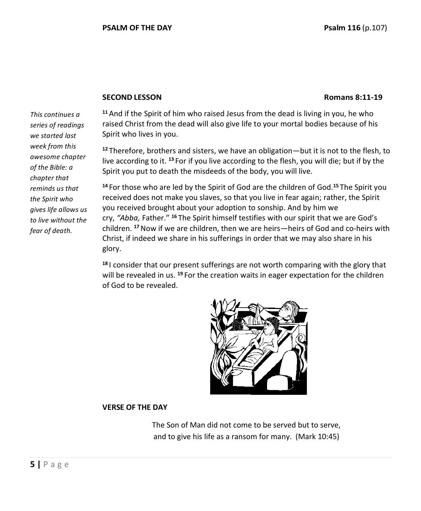### **SECOND LESSON Romans 8:11-19**

*This continues a series of readings we started last week from this awesome chapter of the Bible: a chapter that reminds us that the Spirit who gives life allows us to live without the fear of death.* 

**<sup>11</sup>** And if the Spirit of him who raised Jesus from the dead is living in you, he who raised Christ from the dead will also give life to your mortal bodies because of his Spirit who lives in you.

**<sup>12</sup>** Therefore, brothers and sisters, we have an obligation—but it is not to the flesh, to live according to it. **<sup>13</sup>** For if you live according to the flesh, you will die; but if by the Spirit you put to death the misdeeds of the body, you will live.

**<sup>14</sup>** For those who are led by the Spirit of God are the children of God.**<sup>15</sup>** The Spirit you received does not make you slaves, so that you live in fear again; rather, the Spirit you received brought about your adoption to sonship. And by him we cry, *"Abba,* Father." **<sup>16</sup>** The Spirit himself testifies with our spirit that we are God's children. **<sup>17</sup>**Now if we are children, then we are heirs—heirs of God and co-heirs with Christ, if indeed we share in his sufferings in order that we may also share in his glory.

**<sup>18</sup>** I consider that our present sufferings are not worth comparing with the glory that will be revealed in us. **<sup>19</sup>** For the creation waits in eager expectation for the children of God to be revealed.



### **VERSE OF THE DAY**

The Son of Man did not come to be served but to serve, and to give his life as a ransom for many. (Mark 10:45)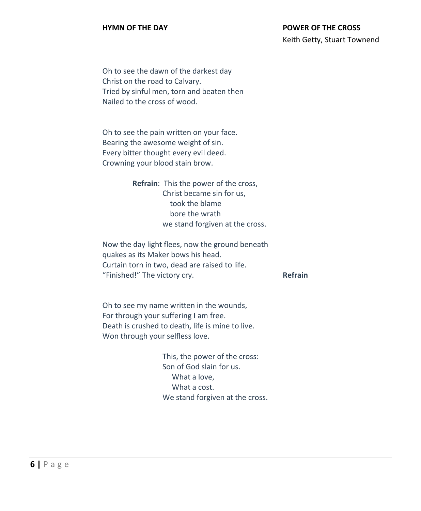# **HYMN OF THE DAY POWER OF THE CROSS** Keith Getty, Stuart Townend

Oh to see the dawn of the darkest day Christ on the road to Calvary. Tried by sinful men, torn and beaten then Nailed to the cross of wood.

Oh to see the pain written on your face. Bearing the awesome weight of sin. Every bitter thought every evil deed. Crowning your blood stain brow.

> **Refrain**: This the power of the cross, Christ became sin for us, took the blame bore the wrath we stand forgiven at the cross.

Now the day light flees, now the ground beneath quakes as its Maker bows his head. Curtain torn in two, dead are raised to life. "Finished!" The victory cry. **Refrain**

Oh to see my name written in the wounds, For through your suffering I am free. Death is crushed to death, life is mine to live. Won through your selfless love.

> This, the power of the cross: Son of God slain for us. What a love, What a cost. We stand forgiven at the cross.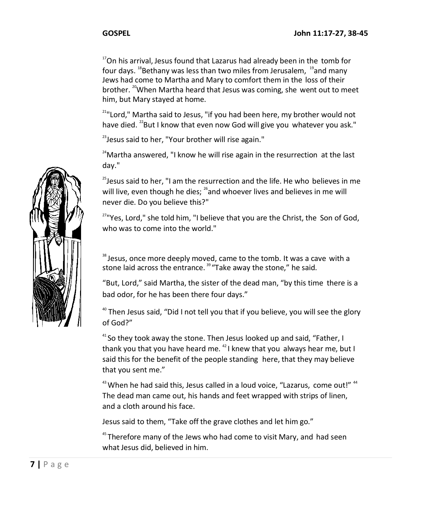<sup>17</sup>On his arrival, Jesus found that Lazarus had already been in the tomb for four days.  $18$ Bethany was less than two miles from Jerusalem,  $19$  and many Jews had come to Martha and Mary to comfort them in the loss of their brother. <sup>20</sup>When Martha heard that Jesus was coming, she went out to meet him, but Mary stayed at home.

 $21$ "Lord," Martha said to Jesus, "if you had been here, my brother would not have died. <sup>22</sup>But I know that even now God will give you whatever you ask."

 $23$  Jesus said to her. "Your brother will rise again."

 $24$ Martha answered, "I know he will rise again in the resurrection at the last day."

 $25$ Jesus said to her, "I am the resurrection and the life. He who believes in me will live, even though he dies; <sup>26</sup> and whoever lives and believes in me will never die. Do you believe this?"

<sup>27</sup>"Yes, Lord," she told him, "I believe that you are the Christ, the Son of God, who was to come into the world."

 $38$  Jesus, once more deeply moved, came to the tomb. It was a cave with a stone laid across the entrance.<sup>39</sup> "Take away the stone," he said.

"But, Lord," said Martha, the sister of the dead man, "by this time there is a bad odor, for he has been there four days."

 $40$  Then Jesus said, "Did I not tell you that if you believe, you will see the glory of God?"

<sup>41</sup> So they took away the stone. Then Jesus looked up and said, "Father, I thank you that you have heard me. <sup>42</sup> I knew that you always hear me, but I said this for the benefit of the people standing here, that they may believe that you sent me."

 $43$  When he had said this, Jesus called in a loud voice, "Lazarus, come out!"  $44$ The dead man came out, his hands and feet wrapped with strips of linen, and a cloth around his face.

Jesus said to them, "Take off the grave clothes and let him go."

<sup>45</sup> Therefore many of the Jews who had come to visit Mary, and had seen what Jesus did, believed in him.